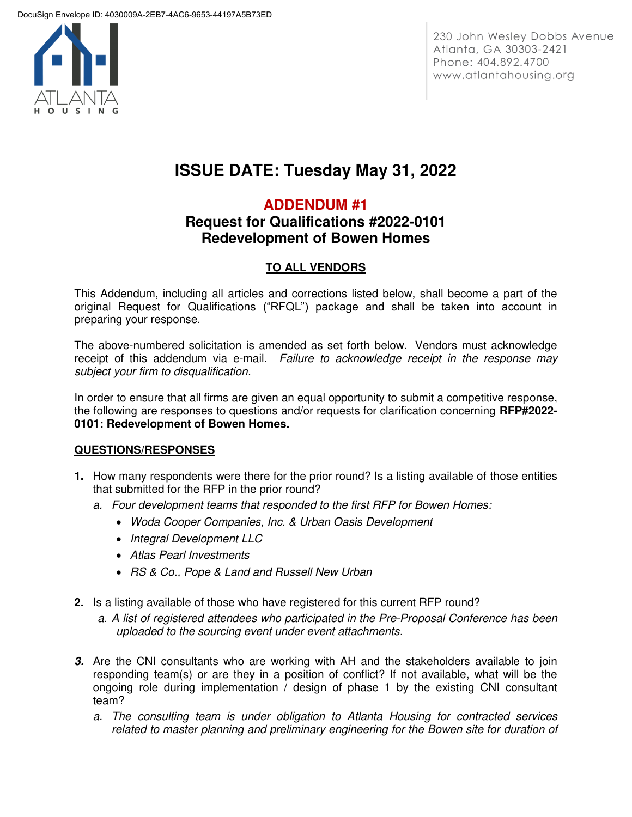

230 John Wesley Dobbs Avenue Atlanta, GA 30303-2421 Phone: 404.892.4700 www.atlantahousing.org

# **ISSUE DATE: Tuesday May 31, 2022**

# **ADDENDUM #1**

# **Request for Qualifications #2022-0101 Redevelopment of Bowen Homes**

# **TO ALL VENDORS**

This Addendum, including all articles and corrections listed below, shall become a part of the original Request for Qualifications ("RFQL") package and shall be taken into account in preparing your response.

The above-numbered solicitation is amended as set forth below. Vendors must acknowledge receipt of this addendum via e-mail. *Failure to acknowledge receipt in the response may subject your firm to disqualification.*

In order to ensure that all firms are given an equal opportunity to submit a competitive response, the following are responses to questions and/or requests for clarification concerning **RFP#2022- 0101: Redevelopment of Bowen Homes.** 

### **QUESTIONS/RESPONSES**

- **1.** How many respondents were there for the prior round? Is a listing available of those entities that submitted for the RFP in the prior round?
	- *a. Four development teams that responded to the first RFP for Bowen Homes:* 
		- *Woda Cooper Companies, Inc. & Urban Oasis Development*
		- *Integral Development LLC*
		- *Atlas Pearl Investments*
		- *RS & Co., Pope & Land and Russell New Urban*
- **2.** Is a listing available of those who have registered for this current RFP round?
	- *a. A list of registered attendees who participated in the Pre-Proposal Conference has been uploaded to the sourcing event under event attachments.*
- **3.** Are the CNI consultants who are working with AH and the stakeholders available to join responding team(s) or are they in a position of conflict? If not available, what will be the ongoing role during implementation / design of phase 1 by the existing CNI consultant team?
	- *a. The consulting team is under obligation to Atlanta Housing for contracted services related to master planning and preliminary engineering for the Bowen site for duration of*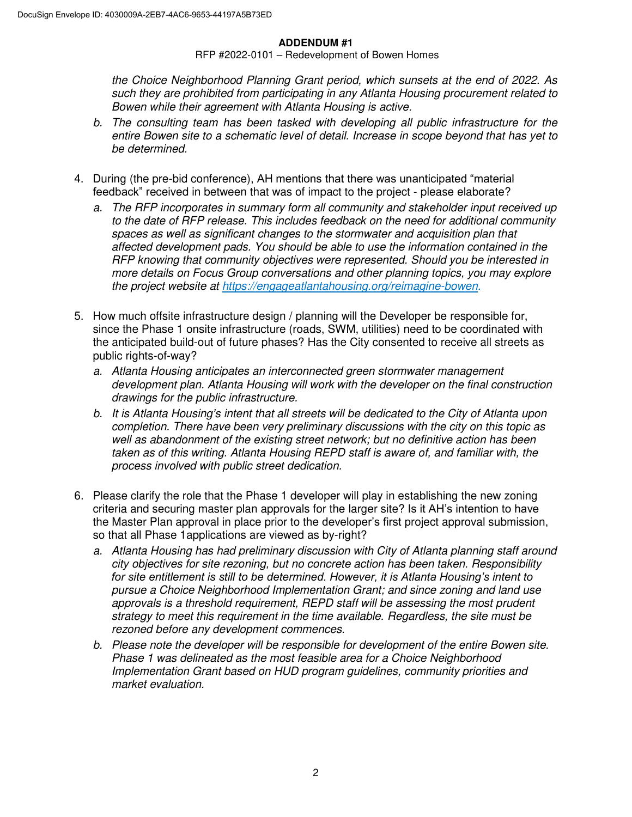#### **ADDENDUM #1**

RFP #2022-0101 – Redevelopment of Bowen Homes

*the Choice Neighborhood Planning Grant period, which sunsets at the end of 2022. As such they are prohibited from participating in any Atlanta Housing procurement related to Bowen while their agreement with Atlanta Housing is active.* 

- *b. The consulting team has been tasked with developing all public infrastructure for the entire Bowen site to a schematic level of detail. Increase in scope beyond that has yet to be determined.*
- 4. During (the pre-bid conference), AH mentions that there was unanticipated "material feedback" received in between that was of impact to the project - please elaborate?
	- *a. The RFP incorporates in summary form all community and stakeholder input received up to the date of RFP release. This includes feedback on the need for additional community spaces as well as significant changes to the stormwater and acquisition plan that affected development pads. You should be able to use the information contained in the RFP knowing that community objectives were represented. Should you be interested in more details on Focus Group conversations and other planning topics, you may explore the project website at [https://engageatlantahousing.org/reimagine-bowen.](https://engageatlantahousing.org/reimagine-bowen)*
- 5. How much offsite infrastructure design / planning will the Developer be responsible for, since the Phase 1 onsite infrastructure (roads, SWM, utilities) need to be coordinated with the anticipated build-out of future phases? Has the City consented to receive all streets as public rights-of-way?
	- *a. Atlanta Housing anticipates an interconnected green stormwater management development plan. Atlanta Housing will work with the developer on the final construction drawings for the public infrastructure.*
	- *b. It is Atlanta Housing's intent that all streets will be dedicated to the City of Atlanta upon completion. There have been very preliminary discussions with the city on this topic as well as abandonment of the existing street network; but no definitive action has been taken as of this writing. Atlanta Housing REPD staff is aware of, and familiar with, the process involved with public street dedication.*
- 6. Please clarify the role that the Phase 1 developer will play in establishing the new zoning criteria and securing master plan approvals for the larger site? Is it AH's intention to have the Master Plan approval in place prior to the developer's first project approval submission, so that all Phase 1applications are viewed as by-right?
	- *a. Atlanta Housing has had preliminary discussion with City of Atlanta planning staff around city objectives for site rezoning, but no concrete action has been taken. Responsibility for site entitlement is still to be determined. However, it is Atlanta Housing's intent to pursue a Choice Neighborhood Implementation Grant; and since zoning and land use approvals is a threshold requirement, REPD staff will be assessing the most prudent strategy to meet this requirement in the time available. Regardless, the site must be rezoned before any development commences.*
	- *b. Please note the developer will be responsible for development of the entire Bowen site. Phase 1 was delineated as the most feasible area for a Choice Neighborhood Implementation Grant based on HUD program guidelines, community priorities and market evaluation.*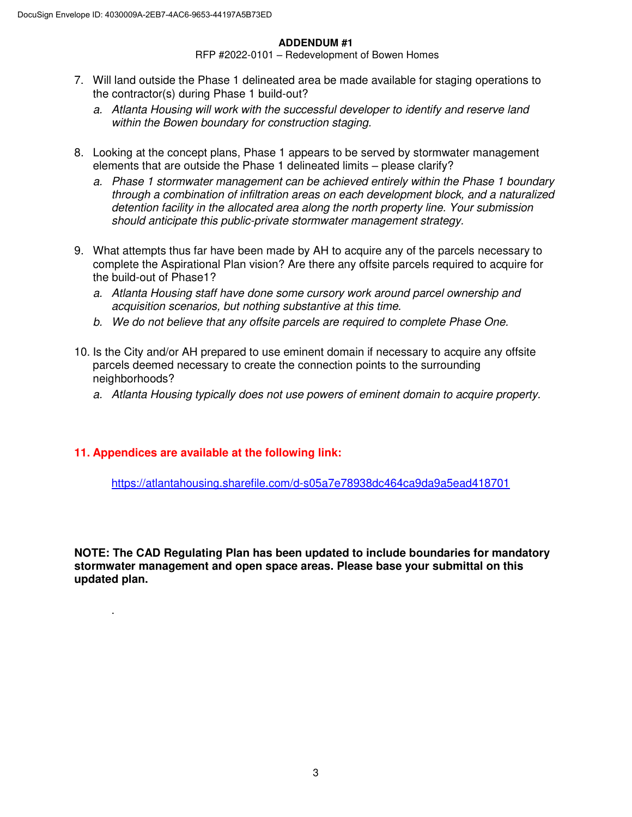#### **ADDENDUM #1**

RFP #2022-0101 – Redevelopment of Bowen Homes

- 7. Will land outside the Phase 1 delineated area be made available for staging operations to the contractor(s) during Phase 1 build-out?
	- *a. Atlanta Housing will work with the successful developer to identify and reserve land within the Bowen boundary for construction staging.*
- 8. Looking at the concept plans, Phase 1 appears to be served by stormwater management elements that are outside the Phase 1 delineated limits – please clarify?
	- *a. Phase 1 stormwater management can be achieved entirely within the Phase 1 boundary through a combination of infiltration areas on each development block, and a naturalized detention facility in the allocated area along the north property line. Your submission should anticipate this public-private stormwater management strategy.*
- 9. What attempts thus far have been made by AH to acquire any of the parcels necessary to complete the Aspirational Plan vision? Are there any offsite parcels required to acquire for the build-out of Phase1?
	- *a. Atlanta Housing staff have done some cursory work around parcel ownership and acquisition scenarios, but nothing substantive at this time.*
	- *b. We do not believe that any offsite parcels are required to complete Phase One.*
- 10. Is the City and/or AH prepared to use eminent domain if necessary to acquire any offsite parcels deemed necessary to create the connection points to the surrounding neighborhoods?
	- *a. Atlanta Housing typically does not use powers of eminent domain to acquire property.*

### **11. Appendices are available at the following link:**

.

<https://atlantahousing.sharefile.com/d-s05a7e78938dc464ca9da9a5ead418701>

**NOTE: The CAD Regulating Plan has been updated to include boundaries for mandatory stormwater management and open space areas. Please base your submittal on this updated plan.**